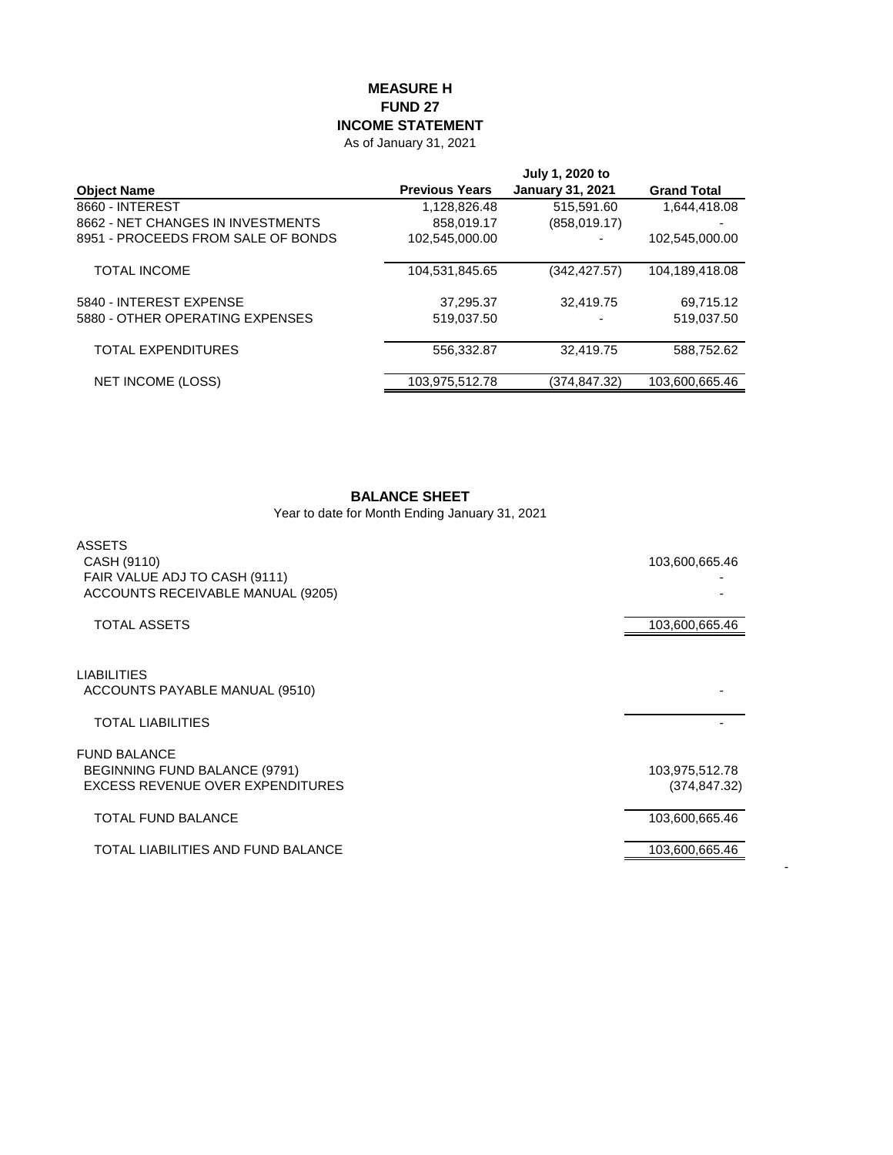## **MEASURE H FUND 27 INCOME STATEMENT**

As of January 31, 2021

|                                    |                       | July 1, 2020 to         |                    |
|------------------------------------|-----------------------|-------------------------|--------------------|
| <b>Object Name</b>                 | <b>Previous Years</b> | <b>January 31, 2021</b> | <b>Grand Total</b> |
| 8660 - INTEREST                    | 1,128,826.48          | 515,591.60              | 1,644,418.08       |
| 8662 - NET CHANGES IN INVESTMENTS  | 858,019.17            | (858, 019.17)           |                    |
| 8951 - PROCEEDS FROM SALE OF BONDS | 102,545,000.00        |                         | 102,545,000.00     |
| <b>TOTAL INCOME</b>                | 104,531,845.65        | (342, 427.57)           | 104,189,418.08     |
| 5840 - INTEREST EXPENSE            | 37,295.37             | 32.419.75               | 69,715.12          |
| 5880 - OTHER OPERATING EXPENSES    | 519.037.50            |                         | 519,037.50         |
| TOTAL EXPENDITURES                 | 556.332.87            | 32.419.75               | 588.752.62         |
| NET INCOME (LOSS)                  | 103,975,512.78        | (374,847.32)            | 103,600,665.46     |

## **BALANCE SHEET**

Year to date for Month Ending January 31, 2021

| ASSETS<br>CASH (9110)<br>FAIR VALUE ADJ TO CASH (9111)<br>ACCOUNTS RECEIVABLE MANUAL (9205) | 103,600,665.46                  |
|---------------------------------------------------------------------------------------------|---------------------------------|
| <b>TOTAL ASSETS</b>                                                                         | 103,600,665.46                  |
| <b>LIABILITIES</b><br>ACCOUNTS PAYABLE MANUAL (9510)                                        |                                 |
| <b>TOTAL LIABILITIES</b>                                                                    |                                 |
| <b>FUND BALANCE</b><br>BEGINNING FUND BALANCE (9791)<br>EXCESS REVENUE OVER EXPENDITURES    | 103,975,512.78<br>(374, 847.32) |
| <b>TOTAL FUND BALANCE</b>                                                                   | 103,600,665.46                  |
| TOTAL LIABILITIES AND FUND BALANCE                                                          | 103,600,665.46                  |

-